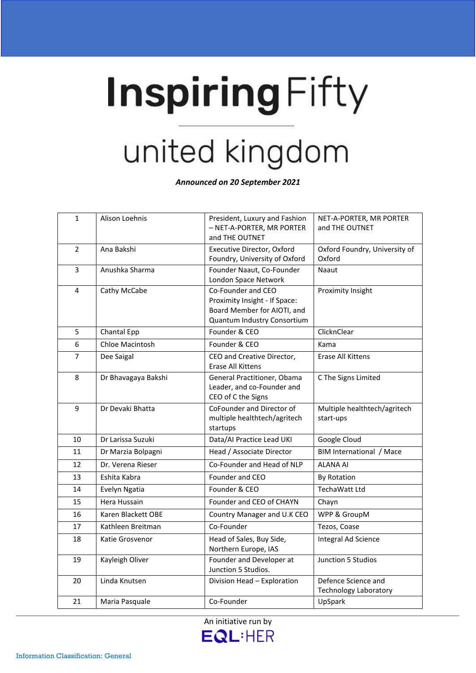## **Inspiring Fifty** united kingdom

*Announced on 20 September 2021*

| $\mathbf{1}$   | Alison Loehnis      | President, Luxury and Fashion<br>- NET-A-PORTER, MR PORTER<br>and THE OUTNET                                      | NET-A-PORTER, MR PORTER<br>and THE OUTNET           |
|----------------|---------------------|-------------------------------------------------------------------------------------------------------------------|-----------------------------------------------------|
| $\overline{2}$ | Ana Bakshi          | Executive Director, Oxford<br>Foundry, University of Oxford                                                       | Oxford Foundry, University of<br>Oxford             |
| 3              | Anushka Sharma      | Founder Naaut, Co-Founder<br>London Space Network                                                                 | Naaut                                               |
| 4              | Cathy McCabe        | Co-Founder and CEO<br>Proximity Insight - If Space:<br>Board Member for AIOTI, and<br>Quantum Industry Consortium | Proximity Insight                                   |
| 5              | Chantal Epp         | Founder & CEO                                                                                                     | ClicknClear                                         |
| 6              | Chloe Macintosh     | Founder & CEO                                                                                                     | Kama                                                |
| $\overline{7}$ | Dee Saigal          | CEO and Creative Director,<br>Erase All Kittens                                                                   | <b>Erase All Kittens</b>                            |
| 8              | Dr Bhavagaya Bakshi | General Practitioner, Obama<br>Leader, and co-Founder and<br>CEO of C the Signs                                   | C The Signs Limited                                 |
| 9              | Dr Devaki Bhatta    | CoFounder and Director of<br>multiple healthtech/agritech<br>startups                                             | Multiple healthtech/agritech<br>start-ups           |
| 10             | Dr Larissa Suzuki   | Data/AI Practice Lead UKI                                                                                         | Google Cloud                                        |
| 11             | Dr Marzia Bolpagni  | Head / Associate Director                                                                                         | BIM International / Mace                            |
| 12             | Dr. Verena Rieser   | Co-Founder and Head of NLP                                                                                        | <b>ALANA AI</b>                                     |
| 13             | Eshita Kabra        | Founder and CEO                                                                                                   | <b>By Rotation</b>                                  |
| 14             | Evelyn Ngatia       | Founder & CEO                                                                                                     | TechaWatt Ltd                                       |
| 15             | Hera Hussain        | Founder and CEO of CHAYN                                                                                          | Chayn                                               |
| 16             | Karen Blackett OBE  | Country Manager and U.K CEO                                                                                       | WPP & GroupM                                        |
| 17             | Kathleen Breitman   | Co-Founder                                                                                                        | Tezos, Coase                                        |
| 18             | Katie Grosvenor     | Head of Sales, Buy Side,<br>Northern Europe, IAS                                                                  | Integral Ad Science                                 |
| 19             | Kayleigh Oliver     | Founder and Developer at<br>Junction 5 Studios.                                                                   | Junction 5 Studios                                  |
| 20             | Linda Knutsen       | Division Head - Exploration                                                                                       | Defence Science and<br><b>Technology Laboratory</b> |
| 21             | Maria Pasquale      | Co-Founder                                                                                                        | UpSpark                                             |
|                |                     |                                                                                                                   |                                                     |